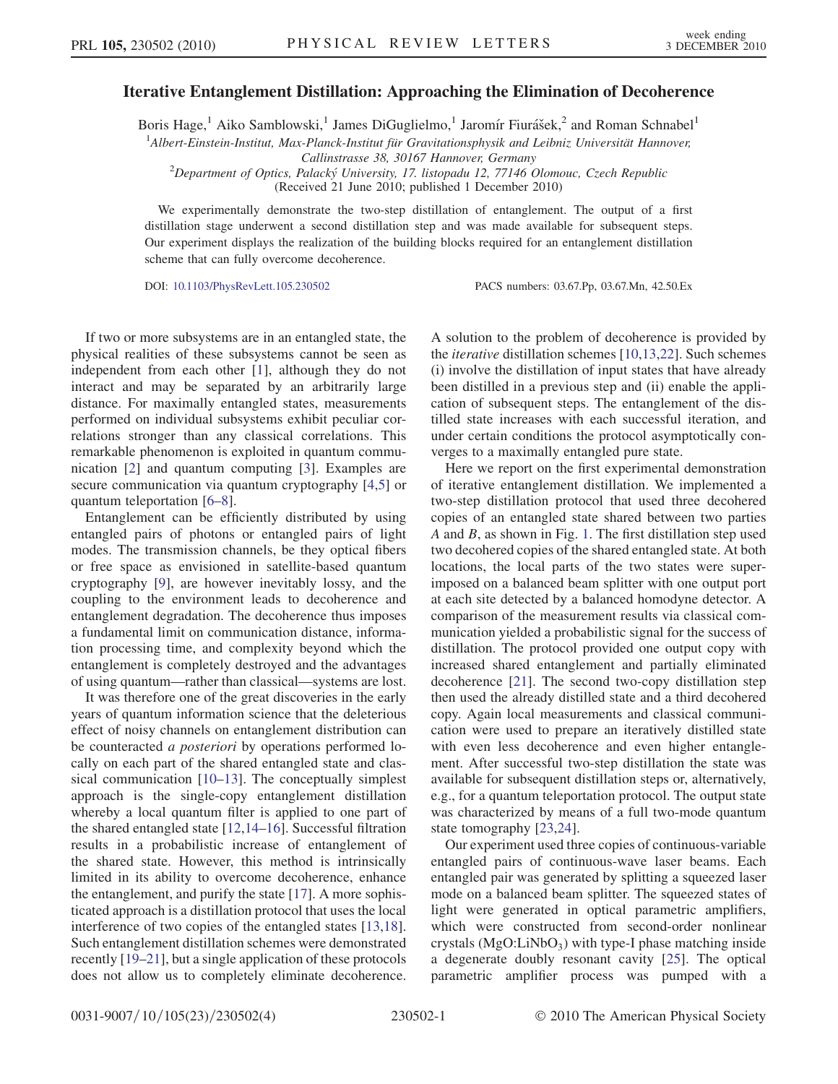Iterative Entanglement Distillation: Approaching the Elimination of Decoherence Boris Hage,<sup>1</sup> Aiko Samblowski,<sup>1</sup> James DiGuglielmo,<sup>1</sup> Jaromír Fiurášek,<sup>2</sup> and Roman Schnabel<sup>1</sup>

<sup>1</sup> Albert-Einstein-Institut, Max-Planck-Institut für Gravitationsphysik and Leibniz Universität Hannover,

Callinstrasse 38, 30167 Hannover, Germany

<sup>2</sup>Department of Optics, Palacký University, 17. listopadu 12, 77146 Olomouc, Czech Republic

(Received 21 June 2010; published 1 December 2010)

We experimentally demonstrate the two-step distillation of entanglement. The output of a first distillation stage underwent a second distillation step and was made available for subsequent steps. Our experiment displays the realization of the building blocks required for an entanglement distillation scheme that can fully overcome decoherence.

DOI: [10.1103/PhysRevLett.105.230502](http://dx.doi.org/10.1103/PhysRevLett.105.230502) PACS numbers: 03.67.Pp, 03.67.Mn, 42.50.Ex

If two or more subsystems are in an entangled state, the physical realities of these subsystems cannot be seen as independent from each other [[1\]](#page-3-0), although they do not interact and may be separated by an arbitrarily large distance. For maximally entangled states, measurements performed on individual subsystems exhibit peculiar correlations stronger than any classical correlations. This remarkable phenomenon is exploited in quantum communication [\[2](#page-3-1)] and quantum computing [[3](#page-3-2)]. Examples are secure communication via quantum cryptography [[4](#page-3-3)[,5\]](#page-3-4) or quantum teleportation [\[6–](#page-3-5)[8](#page-3-6)].

Entanglement can be efficiently distributed by using entangled pairs of photons or entangled pairs of light modes. The transmission channels, be they optical fibers or free space as envisioned in satellite-based quantum cryptography [[9](#page-3-7)], are however inevitably lossy, and the coupling to the environment leads to decoherence and entanglement degradation. The decoherence thus imposes a fundamental limit on communication distance, information processing time, and complexity beyond which the entanglement is completely destroyed and the advantages of using quantum—rather than classical—systems are lost.

It was therefore one of the great discoveries in the early years of quantum information science that the deleterious effect of noisy channels on entanglement distribution can be counteracted a posteriori by operations performed locally on each part of the shared entangled state and classical communication [[10](#page-3-8)–[13](#page-3-9)]. The conceptually simplest approach is the single-copy entanglement distillation whereby a local quantum filter is applied to one part of the shared entangled state [[12](#page-3-10),[14](#page-3-11)–[16\]](#page-3-12). Successful filtration results in a probabilistic increase of entanglement of the shared state. However, this method is intrinsically limited in its ability to overcome decoherence, enhance the entanglement, and purify the state [\[17\]](#page-3-13). A more sophisticated approach is a distillation protocol that uses the local interference of two copies of the entangled states [\[13](#page-3-9)[,18\]](#page-3-14). Such entanglement distillation schemes were demonstrated recently [\[19–](#page-3-15)[21](#page-3-16)], but a single application of these protocols does not allow us to completely eliminate decoherence.

A solution to the problem of decoherence is provided by the iterative distillation schemes [\[10](#page-3-8)[,13](#page-3-9)[,22\]](#page-3-17). Such schemes (i) involve the distillation of input states that have already been distilled in a previous step and (ii) enable the application of subsequent steps. The entanglement of the distilled state increases with each successful iteration, and under certain conditions the protocol asymptotically converges to a maximally entangled pure state.

Here we report on the first experimental demonstration of iterative entanglement distillation. We implemented a two-step distillation protocol that used three decohered copies of an entangled state shared between two parties A and B, as shown in Fig. [1.](#page-1-0) The first distillation step used two decohered copies of the shared entangled state. At both locations, the local parts of the two states were superimposed on a balanced beam splitter with one output port at each site detected by a balanced homodyne detector. A comparison of the measurement results via classical communication yielded a probabilistic signal for the success of distillation. The protocol provided one output copy with increased shared entanglement and partially eliminated decoherence [\[21\]](#page-3-16). The second two-copy distillation step then used the already distilled state and a third decohered copy. Again local measurements and classical communication were used to prepare an iteratively distilled state with even less decoherence and even higher entanglement. After successful two-step distillation the state was available for subsequent distillation steps or, alternatively, e.g., for a quantum teleportation protocol. The output state was characterized by means of a full two-mode quantum state tomography [\[23](#page-3-18)[,24\]](#page-3-19).

Our experiment used three copies of continuous-variable entangled pairs of continuous-wave laser beams. Each entangled pair was generated by splitting a squeezed laser mode on a balanced beam splitter. The squeezed states of light were generated in optical parametric amplifiers, which were constructed from second-order nonlinear crystals  $(MgO:LiNbO<sub>3</sub>)$  with type-I phase matching inside a degenerate doubly resonant cavity [\[25\]](#page-3-20). The optical parametric amplifier process was pumped with a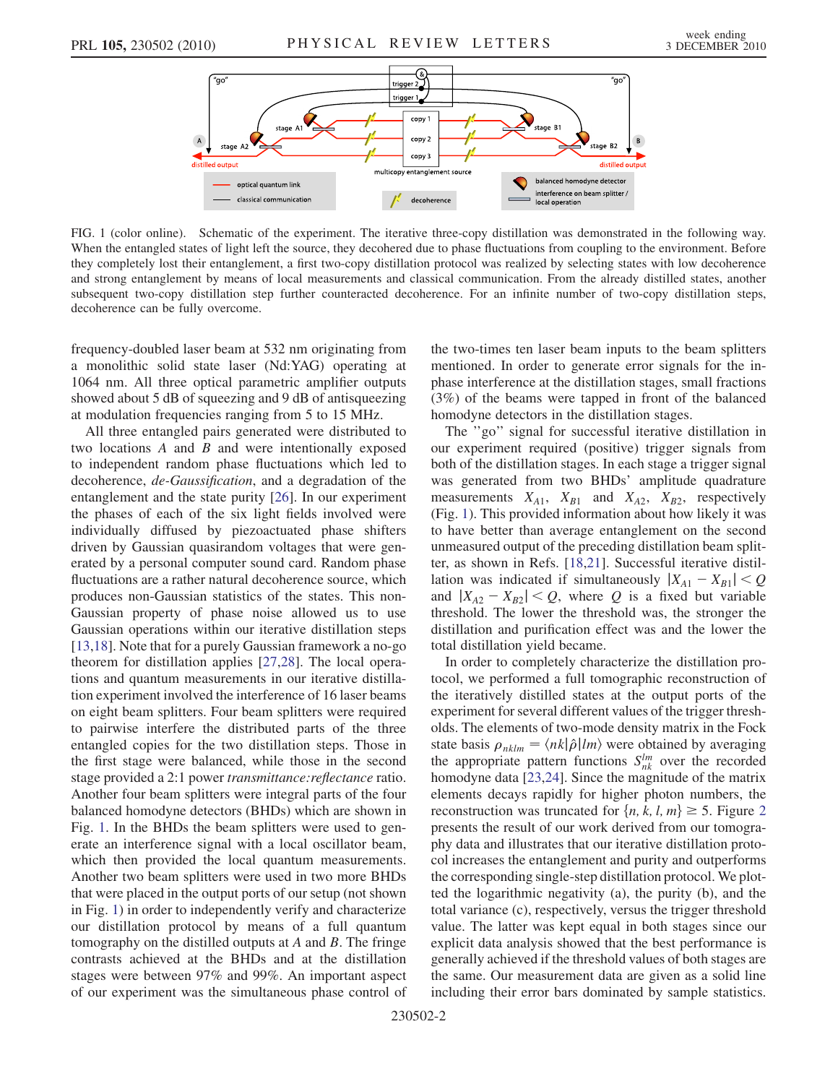<span id="page-1-0"></span>

FIG. 1 (color online). Schematic of the experiment. The iterative three-copy distillation was demonstrated in the following way. When the entangled states of light left the source, they decohered due to phase fluctuations from coupling to the environment. Before they completely lost their entanglement, a first two-copy distillation protocol was realized by selecting states with low decoherence and strong entanglement by means of local measurements and classical communication. From the already distilled states, another subsequent two-copy distillation step further counteracted decoherence. For an infinite number of two-copy distillation steps, decoherence can be fully overcome.

frequency-doubled laser beam at 532 nm originating from a monolithic solid state laser (Nd:YAG) operating at 1064 nm. All three optical parametric amplifier outputs showed about 5 dB of squeezing and 9 dB of antisqueezing at modulation frequencies ranging from 5 to 15 MHz.

All three entangled pairs generated were distributed to two locations  $A$  and  $B$  and were intentionally exposed to independent random phase fluctuations which led to decoherence, de-Gaussification, and a degradation of the entanglement and the state purity [[26](#page-3-21)]. In our experiment the phases of each of the six light fields involved were individually diffused by piezoactuated phase shifters driven by Gaussian quasirandom voltages that were generated by a personal computer sound card. Random phase fluctuations are a rather natural decoherence source, which produces non-Gaussian statistics of the states. This non-Gaussian property of phase noise allowed us to use Gaussian operations within our iterative distillation steps [\[13](#page-3-9)[,18\]](#page-3-14). Note that for a purely Gaussian framework a no-go theorem for distillation applies [\[27,](#page-3-22)[28\]](#page-3-23). The local operations and quantum measurements in our iterative distillation experiment involved the interference of 16 laser beams on eight beam splitters. Four beam splitters were required to pairwise interfere the distributed parts of the three entangled copies for the two distillation steps. Those in the first stage were balanced, while those in the second stage provided a 2:1 power transmittance: reflectance ratio. Another four beam splitters were integral parts of the four balanced homodyne detectors (BHDs) which are shown in Fig. [1](#page-1-0). In the BHDs the beam splitters were used to generate an interference signal with a local oscillator beam, which then provided the local quantum measurements. Another two beam splitters were used in two more BHDs that were placed in the output ports of our setup (not shown in Fig. [1\)](#page-1-0) in order to independently verify and characterize our distillation protocol by means of a full quantum tomography on the distilled outputs at A and B. The fringe contrasts achieved at the BHDs and at the distillation stages were between 97% and 99%. An important aspect of our experiment was the simultaneous phase control of the two-times ten laser beam inputs to the beam splitters mentioned. In order to generate error signals for the inphase interference at the distillation stages, small fractions (3%) of the beams were tapped in front of the balanced homodyne detectors in the distillation stages.

The ''go'' signal for successful iterative distillation in our experiment required (positive) trigger signals from both of the distillation stages. In each stage a trigger signal was generated from two BHDs' amplitude quadrature measurements  $X_{A1}$ ,  $X_{B1}$  and  $X_{A2}$ ,  $X_{B2}$ , respectively (Fig. [1\)](#page-1-0). This provided information about how likely it was to have better than average entanglement on the second unmeasured output of the preceding distillation beam splitter, as shown in Refs. [[18](#page-3-14)[,21](#page-3-16)]. Successful iterative distillation was indicated if simultaneously  $|X_{A1} - X_{B1}| < Q$ and  $|X_{A2} - X_{B2}| < Q$ , where Q is a fixed but variable threshold. The lower the threshold was, the stronger the distillation and purification effect was and the lower the total distillation yield became.

In order to completely characterize the distillation protocol, we performed a full tomographic reconstruction of the iteratively distilled states at the output ports of the experiment for several different values of the trigger thresholds. The elements of two-mode density matrix in the Fock state basis  $\rho_{nklm} = \langle nk|\hat{\rho}|lm\rangle$  were obtained by averaging the appropriate pattern functions  $S_{nk}^{lm}$  over the recorded homodyne data [\[23](#page-3-18)[,24\]](#page-3-19). Since the magnitude of the matrix elements decays rapidly for higher photon numbers, the reconstruction was truncated for  $\{n, k, l, m\} \ge 5$ . Figure [2](#page-2-0)<br>presents the result of our work derived from our tomograpresents the result of our work derived from our tomography data and illustrates that our iterative distillation protocol increases the entanglement and purity and outperforms the corresponding single-step distillation protocol. We plotted the logarithmic negativity (a), the purity (b), and the total variance (c), respectively, versus the trigger threshold value. The latter was kept equal in both stages since our explicit data analysis showed that the best performance is generally achieved if the threshold values of both stages are the same. Our measurement data are given as a solid line including their error bars dominated by sample statistics.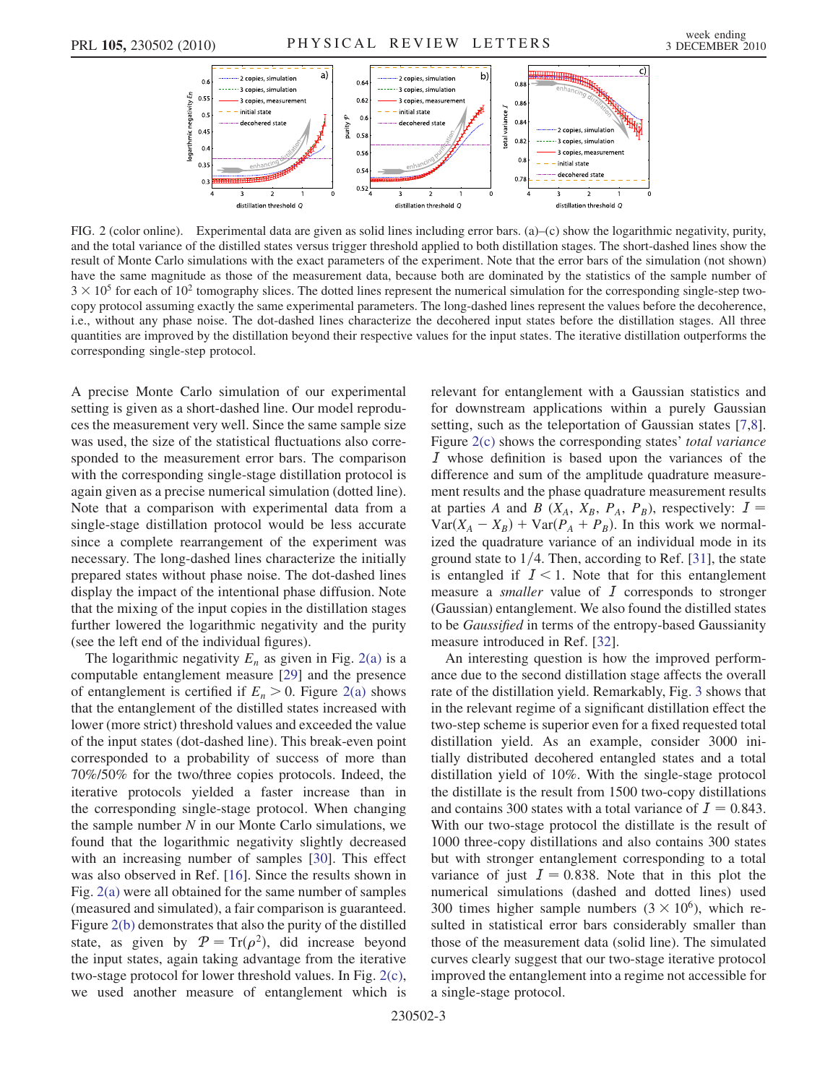<span id="page-2-0"></span>

<span id="page-2-1"></span>FIG. 2 (color online). Experimental data are given as solid lines including error bars. (a)–(c) show the logarithmic negativity, purity, and the total variance of the distilled states versus trigger threshold applied to both distillation stages. The short-dashed lines show the result of Monte Carlo simulations with the exact parameters of the experiment. Note that the error bars of the simulation (not shown) have the same magnitude as those of the measurement data, because both are dominated by the statistics of the sample number of  $3 \times 10^5$  for each of 10<sup>2</sup> tomography slices. The dotted lines represent the numerical simulation for the corresponding single-step twocopy protocol assuming exactly the same experimental parameters. The long-dashed lines represent the values before the decoherence, i.e., without any phase noise. The dot-dashed lines characterize the decohered input states before the distillation stages. All three quantities are improved by the distillation beyond their respective values for the input states. The iterative distillation outperforms the corresponding single-step protocol.

A precise Monte Carlo simulation of our experimental setting is given as a short-dashed line. Our model reproduces the measurement very well. Since the same sample size was used, the size of the statistical fluctuations also corresponded to the measurement error bars. The comparison with the corresponding single-stage distillation protocol is again given as a precise numerical simulation (dotted line). Note that a comparison with experimental data from a single-stage distillation protocol would be less accurate since a complete rearrangement of the experiment was necessary. The long-dashed lines characterize the initially prepared states without phase noise. The dot-dashed lines display the impact of the intentional phase diffusion. Note that the mixing of the input copies in the distillation stages further lowered the logarithmic negativity and the purity (see the left end of the individual figures).

The logarithmic negativity  $E_n$  as given in Fig. [2\(a\)](#page-2-1) is a computable entanglement measure [\[29\]](#page-3-24) and the presence of entanglement is certified if  $E_n > 0$ . Figure [2\(a\)](#page-2-1) shows that the entanglement of the distilled states increased with lower (more strict) threshold values and exceeded the value of the input states (dot-dashed line). This break-even point corresponded to a probability of success of more than 70%/50% for the two/three copies protocols. Indeed, the iterative protocols yielded a faster increase than in the corresponding single-stage protocol. When changing the sample number  $N$  in our Monte Carlo simulations, we found that the logarithmic negativity slightly decreased with an increasing number of samples [\[30](#page-3-25)]. This effect was also observed in Ref. [[16](#page-3-12)]. Since the results shown in Fig. [2\(a\)](#page-2-1) were all obtained for the same number of samples (measured and simulated), a fair comparison is guaranteed. Figure [2\(b\)](#page-2-1) demonstrates that also the purity of the distilled state, as given by  $\mathcal{P} = \text{Tr}(\rho^2)$ , did increase beyond the input states, again taking advantage from the iterative two-stage protocol for lower threshold values. In Fig. [2\(c\)](#page-2-1), we used another measure of entanglement which is relevant for entanglement with a Gaussian statistics and for downstream applications within a purely Gaussian setting, such as the teleportation of Gaussian states [[7](#page-3-26),[8\]](#page-3-6). Figure [2\(c\)](#page-2-1) shows the corresponding states' total variance I whose definition is based upon the variances of the difference and sum of the amplitude quadrature measurement results and the phase quadrature measurement results at parties A and B ( $X_A$ ,  $X_B$ ,  $P_A$ ,  $P_B$ ), respectively:  $I =$  $Var(X_A - X_B) + Var(P_A + P_B)$ . In this work we normalized the quadrature variance of an individual mode in its ground state to  $1/4$ . Then, according to Ref. [\[31\]](#page-3-27), the state is entangled if  $I < 1$ . Note that for this entanglement measure a *smaller* value of  $I$  corresponds to stronger (Gaussian) entanglement. We also found the distilled states to be Gaussified in terms of the entropy-based Gaussianity measure introduced in Ref. [\[32\]](#page-3-28).

An interesting question is how the improved performance due to the second distillation stage affects the overall rate of the distillation yield. Remarkably, Fig. [3](#page-3-29) shows that in the relevant regime of a significant distillation effect the two-step scheme is superior even for a fixed requested total distillation yield. As an example, consider 3000 initially distributed decohered entangled states and a total distillation yield of 10%. With the single-stage protocol the distillate is the result from 1500 two-copy distillations and contains 300 states with a total variance of  $I = 0.843$ . With our two-stage protocol the distillate is the result of 1000 three-copy distillations and also contains 300 states but with stronger entanglement corresponding to a total variance of just  $I = 0.838$ . Note that in this plot the numerical simulations (dashed and dotted lines) used 300 times higher sample numbers  $(3 \times 10^6)$ , which resulted in statistical error bars considerably smaller than those of the measurement data (solid line). The simulated curves clearly suggest that our two-stage iterative protocol improved the entanglement into a regime not accessible for a single-stage protocol.